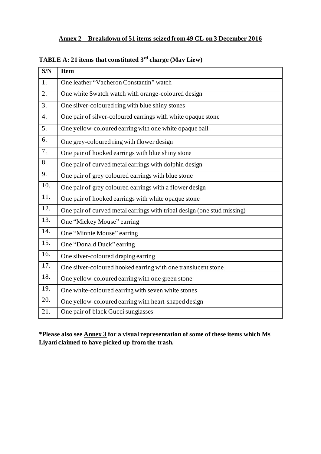## **Annex 2 – Breakdown of 51 items seized from 49 CL on 3 December 2016**

| $\overline{\text{S/N}}$ | <b>Item</b>                                                             |
|-------------------------|-------------------------------------------------------------------------|
| 1.                      | One leather "Vacheron Constantin" watch                                 |
| 2.                      | One white Swatch watch with orange-coloured design                      |
| 3.                      | One silver-coloured ring with blue shiny stones                         |
| $\overline{4}$ .        | One pair of silver-coloured earrings with white opaque stone            |
| 5.                      | One yellow-coloured earring with one white opaque ball                  |
| 6.                      | One grey-coloured ring with flower design                               |
| 7.                      | One pair of hooked earrings with blue shiny stone                       |
| 8.                      | One pair of curved metal earrings with dolphin design                   |
| 9.                      | One pair of grey coloured earrings with blue stone                      |
| 10.                     | One pair of grey coloured earrings with a flower design                 |
| 11.                     | One pair of hooked earrings with white opaque stone                     |
| 12.                     | One pair of curved metal earrings with tribal design (one stud missing) |
| 13.                     | One "Mickey Mouse" earring                                              |
| $\overline{14}$ .       | One "Minnie Mouse" earring                                              |
| 15.                     | One "Donald Duck" earring                                               |
| 16.                     | One silver-coloured draping earring                                     |
| 17.                     | One silver-coloured hooked earring with one translucent stone           |
| 18.                     | One yellow-coloured earring with one green stone                        |
| 19.                     | One white-coloured earring with seven white stones                      |
| 20.                     | One yellow-coloured earring with heart-shaped design                    |
| 21.                     | One pair of black Gucci sunglasses                                      |

**TABLE A: 21 items that constituted 3 rd charge (May Liew)**

**\*Please also see Annex 3 for a visual representation of some of these items which Ms Liyani claimed to have picked up from the trash.**